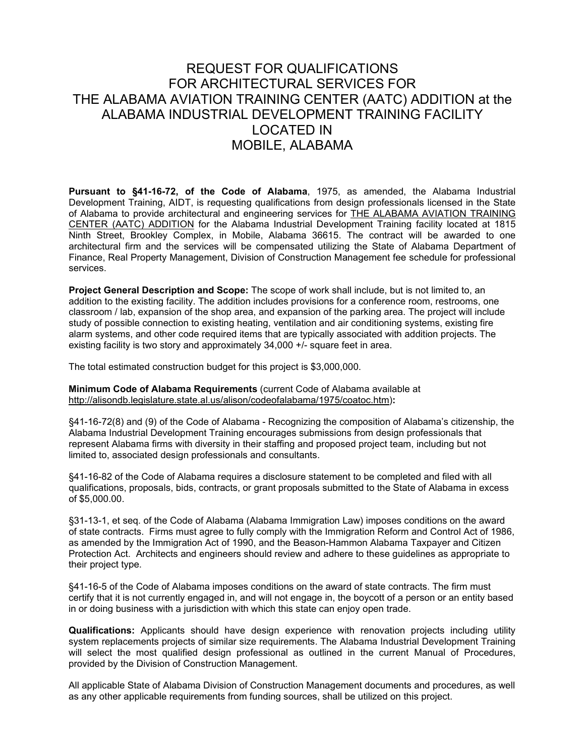## REQUEST FOR QUALIFICATIONS FOR ARCHITECTURAL SERVICES FOR THE ALABAMA AVIATION TRAINING CENTER (AATC) ADDITION at the ALABAMA INDUSTRIAL DEVELOPMENT TRAINING FACILITY LOCATED IN MOBILE, ALABAMA

**Pursuant to §41-16-72, of the Code of Alabama**, 1975, as amended, the Alabama Industrial Development Training, AIDT, is requesting qualifications from design professionals licensed in the State of Alabama to provide architectural and engineering services for THE ALABAMA AVIATION TRAINING CENTER (AATC) ADDITION for the Alabama Industrial Development Training facility located at 1815 Ninth Street, Brookley Complex, in Mobile, Alabama 36615. The contract will be awarded to one architectural firm and the services will be compensated utilizing the State of Alabama Department of Finance, Real Property Management, Division of Construction Management fee schedule for professional services.

**Project General Description and Scope:** The scope of work shall include, but is not limited to, an addition to the existing facility. The addition includes provisions for a conference room, restrooms, one classroom / lab, expansion of the shop area, and expansion of the parking area. The project will include study of possible connection to existing heating, ventilation and air conditioning systems, existing fire alarm systems, and other code required items that are typically associated with addition projects. The existing facility is two story and approximately 34,000 +/- square feet in area.

The total estimated construction budget for this project is \$3,000,000.

**Minimum Code of Alabama Requirements** (current Code of Alabama available at [http://alisondb.legislature.state.al.us/alison/codeofalabama/1975/coatoc.htm\)](http://alisondb.legislature.state.al.us/alison/codeofalabama/1975/coatoc.htm)**:**

§41-16-72(8) and (9) of the Code of Alabama - Recognizing the composition of Alabama's citizenship, the Alabama Industrial Development Training encourages submissions from design professionals that represent Alabama firms with diversity in their staffing and proposed project team, including but not limited to, associated design professionals and consultants.

§41-16-82 of the Code of Alabama requires a disclosure statement to be completed and filed with all qualifications, proposals, bids, contracts, or grant proposals submitted to the State of Alabama in excess of \$5,000.00.

§31-13-1, et seq. of the Code of Alabama (Alabama Immigration Law) imposes conditions on the award of state contracts. Firms must agree to fully comply with the Immigration Reform and Control Act of 1986, as amended by the Immigration Act of 1990, and the Beason-Hammon Alabama Taxpayer and Citizen Protection Act. Architects and engineers should review and adhere to these guidelines as appropriate to their project type.

§41-16-5 of the Code of Alabama imposes conditions on the award of state contracts. The firm must certify that it is not currently engaged in, and will not engage in, the boycott of a person or an entity based in or doing business with a jurisdiction with which this state can enjoy open trade.

**Qualifications:** Applicants should have design experience with renovation projects including utility system replacements projects of similar size requirements. The Alabama Industrial Development Training will select the most qualified design professional as outlined in the current Manual of Procedures, provided by the Division of Construction Management.

All applicable State of Alabama Division of Construction Management documents and procedures, as well as any other applicable requirements from funding sources, shall be utilized on this project.